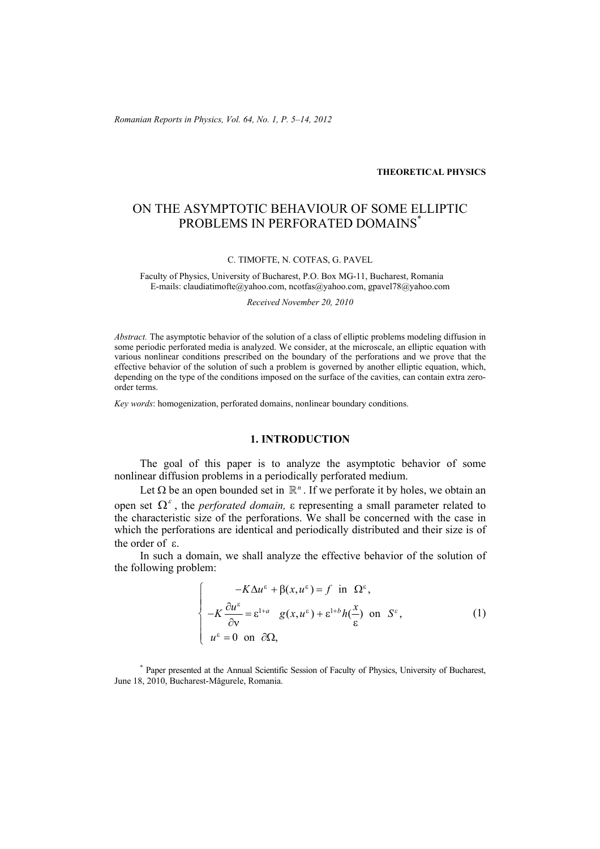*Romanian Reports in Physics, Vol. 64, No. 1, P. 5–14, 2012*

#### **THEORETICAL PHYSICS**

# ON THE ASYMPTOTIC BEHAVIOUR OF SOME ELLIPTIC PROBLEMS IN PERFORATED DOMAINS<sup>\*</sup>

#### C. TIMOFTE, N. COTFAS, G. PAVEL

Faculty of Physics, University of Bucharest, P.O. Box MG-11, Bucharest, Romania E-mails: claudiatimofte@yahoo.com, ncotfas@yahoo.com, gpavel78@yahoo.com

#### *Received November 20, 2010*

*Abstract.* The asymptotic behavior of the solution of a class of elliptic problems modeling diffusion in some periodic perforated media is analyzed. We consider, at the microscale, an elliptic equation with various nonlinear conditions prescribed on the boundary of the perforations and we prove that the effective behavior of the solution of such a problem is governed by another elliptic equation, which, depending on the type of the conditions imposed on the surface of the cavities, can contain extra zeroorder terms.

*Key words*: homogenization, perforated domains, nonlinear boundary conditions.

## **1. INTRODUCTION**

The goal of this paper is to analyze the asymptotic behavior of some nonlinear diffusion problems in a periodically perforated medium.

Let  $\Omega$  be an open bounded set in  $\mathbb{R}^n$ . If we perforate it by holes, we obtain an open set  $\Omega^{\varepsilon}$ , the *perforated domain*,  $\varepsilon$  representing a small parameter related to the characteristic size of the perforations. We shall be concerned with the case in which the perforations are identical and periodically distributed and their size is of the order of ε.

In such a domain, we shall analyze the effective behavior of the solution of the following problem:

$$
\begin{cases}\n-K\Delta u^{\varepsilon} + \beta(x, u^{\varepsilon}) = f \text{ in } \Omega^{\varepsilon}, \\
-K\frac{\partial u^{\varepsilon}}{\partial v} = \varepsilon^{1+a} g(x, u^{\varepsilon}) + \varepsilon^{1+b} h(\frac{x}{\varepsilon}) \text{ on } S^{\varepsilon}, \\
u^{\varepsilon} = 0 \text{ on } \partial\Omega,\n\end{cases}
$$
\n(1)

\* Paper presented at the Annual Scientific Session of Faculty of Physics, University of Bucharest, June 18, 2010, Bucharest-Măgurele, Romania.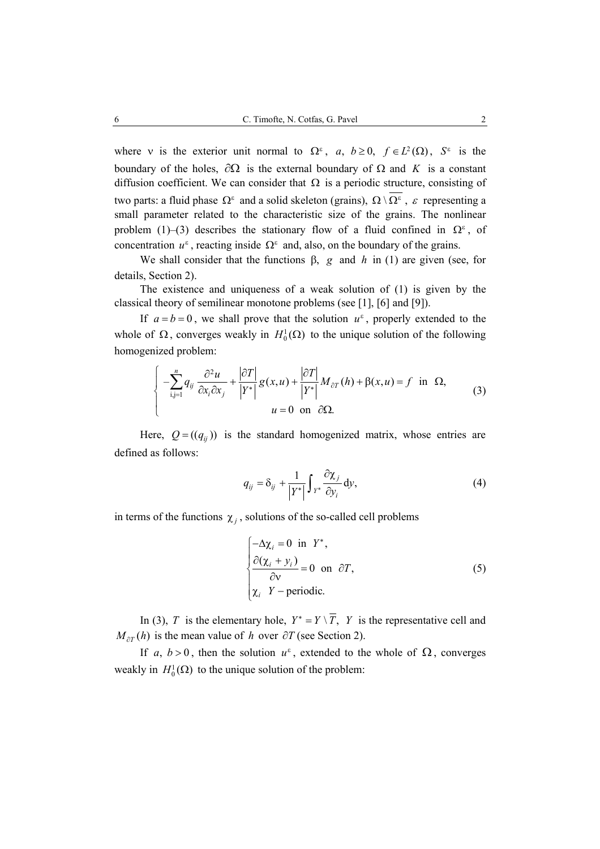where v is the exterior unit normal to  $\Omega^{\varepsilon}$ , a,  $b \ge 0$ ,  $f \in L^2(\Omega)$ ,  $S^{\varepsilon}$  is the boundary of the holes,  $\partial\Omega$  is the external boundary of  $\Omega$  and K is a constant diffusion coefficient. We can consider that  $\Omega$  is a periodic structure, consisting of two parts: a fluid phase  $\Omega^{\varepsilon}$  and a solid skeleton (grains),  $\Omega \setminus \Omega^{\varepsilon}$ , ε representing a small parameter related to the characteristic size of the grains. The nonlinear problem (1)–(3) describes the stationary flow of a fluid confined in  $\Omega^{\varepsilon}$ , of concentration  $u^{\varepsilon}$ , reacting inside  $\Omega^{\varepsilon}$  and, also, on the boundary of the grains.

We shall consider that the functions  $\beta$ , g and h in (1) are given (see, for details, Section 2).

The existence and uniqueness of a weak solution of (1) is given by the classical theory of semilinear monotone problems (see [1], [6] and [9]).

If  $a = b = 0$ , we shall prove that the solution  $u^{\varepsilon}$ , properly extended to the whole of  $\Omega$ , converges weakly in  $H_0^1(\Omega)$  to the unique solution of the following homogenized problem:

$$
\begin{cases}\n-\sum_{i,j=1}^{n} q_{ij} \frac{\partial^2 u}{\partial x_i \partial x_j} + \frac{|\partial T|}{|Y^*|} g(x, u) + \frac{|\partial T|}{|Y^*|} M_{\partial T}(h) + \beta(x, u) = f \text{ in } \Omega, \\
u = 0 \text{ on } \partial \Omega.\n\end{cases} (3)
$$

Here,  $Q = ((q_{ii})$  is the standard homogenized matrix, whose entries are defined as follows:

$$
q_{ij} = \delta_{ij} + \frac{1}{|Y^*|} \int_{Y^*} \frac{\partial \chi_j}{\partial y_i} dy,
$$
 (4)

in terms of the functions  $\chi_i$ , solutions of the so-called cell problems

$$
\begin{cases}\n-\Delta \chi_i = 0 \text{ in } Y^*, \\
\frac{\partial (\chi_i + y_i)}{\partial v} = 0 \text{ on } \partial T, \\
\chi_i Y - \text{periodic.} \n\end{cases} \n\tag{5}
$$

In (3), *T* is the elementary hole,  $Y^* = Y \setminus \overline{T}$ , *Y* is the representative cell and  $M_{\partial T}(h)$  is the mean value of *h* over  $\partial T$  (see Section 2).

If a,  $b > 0$ , then the solution  $u^{\varepsilon}$ , extended to the whole of  $\Omega$ , converges weakly in  $H_0^1(\Omega)$  to the unique solution of the problem: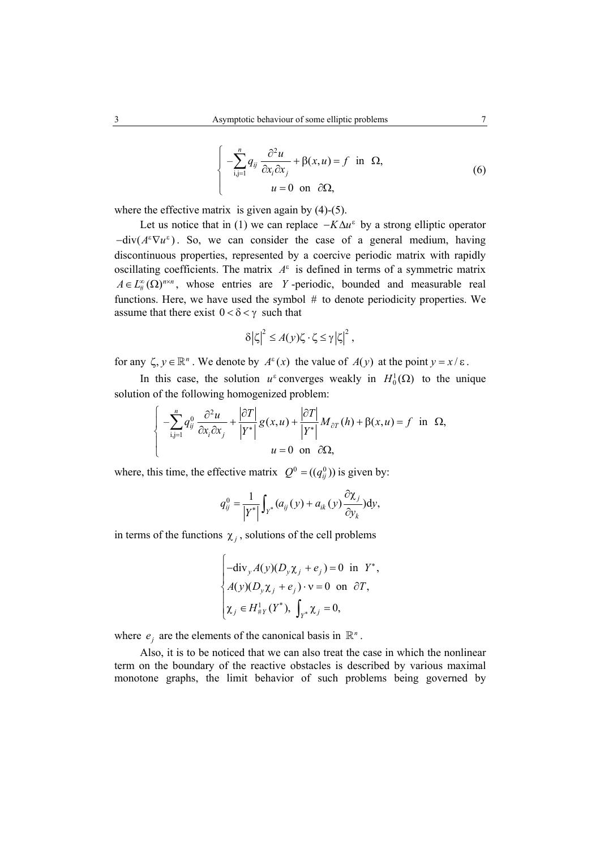$$
\begin{cases}\n-\sum_{i,j=1}^{n} q_{ij} \frac{\partial^2 u}{\partial x_i \partial x_j} + \beta(x, u) = f \text{ in } \Omega, \\
u = 0 \text{ on } \partial \Omega,\n\end{cases}
$$
\n(6)

where the effective matrix is given again by  $(4)-(5)$ .

Let us notice that in (1) we can replace  $-K\Delta u^{\varepsilon}$  by a strong elliptic operator  $-\text{div}(A^{\varepsilon} \nabla u^{\varepsilon})$ . So, we can consider the case of a general medium, having discontinuous properties, represented by a coercive periodic matrix with rapidly oscillating coefficients. The matrix  $A^{\varepsilon}$  is defined in terms of a symmetric matrix  $A \in L^{\infty}_{\mu}(\Omega)^{n \times n}$ , whose entries are *Y*-periodic, bounded and measurable real functions. Here, we have used the symbol # to denote periodicity properties. We assume that there exist  $0 < \delta < \gamma$  such that

$$
\delta |\zeta|^2 \leq A(y)\zeta \cdot \zeta \leq \gamma |\zeta|^2,
$$

for any  $\zeta$ ,  $y \in \mathbb{R}^n$ . We denote by  $A^\varepsilon(x)$  the value of  $A(y)$  at the point  $y = x/\varepsilon$ .

In this case, the solution  $u^{\varepsilon}$  converges weakly in  $H_0^1(\Omega)$  to the unique solution of the following homogenized problem:

$$
\begin{cases}\n-\sum_{i,j=1}^{n} q_{ij}^{0} \frac{\partial^{2} u}{\partial x_{i} \partial x_{j}} + \frac{|\partial T|}{|Y^{*}|} g(x, u) + \frac{|\partial T|}{|Y^{*}|} M_{\partial T}(h) + \beta(x, u) = f & \text{in } \Omega, \\
u = 0 & \text{on } \partial \Omega,\n\end{cases}
$$

where, this time, the effective matrix  $Q^0 = ((q_{ij}^0))$  is given by:

$$
q_{ij}^0 = \frac{1}{\left|Y^*\right|} \int_{Y^*} (a_{ij}(y) + a_{ik}(y) \frac{\partial \chi_j}{\partial y_k}) dy,
$$

in terms of the functions  $\chi_i$ , solutions of the cell problems

$$
\begin{cases}\n-\text{div}_y A(y)(D_y \chi_j + e_j) = 0 & \text{in } Y^*, \\
A(y)(D_y \chi_j + e_j) \cdot v = 0 & \text{on } \partial T, \\
\chi_j \in H^1_{\# Y}(Y^*), \int_{Y^*} \chi_j = 0,\n\end{cases}
$$

where  $e_i$  are the elements of the canonical basis in  $\mathbb{R}^n$ .

Also, it is to be noticed that we can also treat the case in which the nonlinear term on the boundary of the reactive obstacles is described by various maximal monotone graphs, the limit behavior of such problems being governed by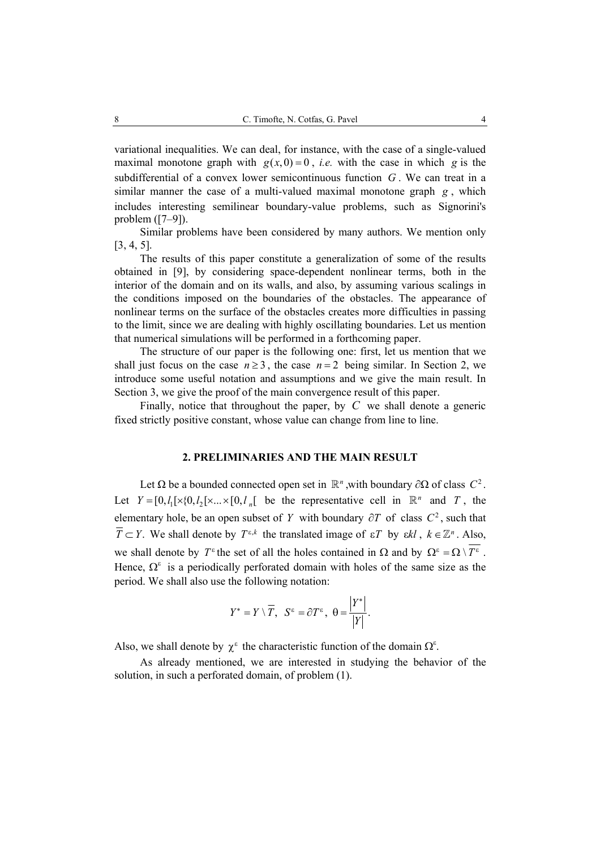variational inequalities. We can deal, for instance, with the case of a single-valued maximal monotone graph with  $g(x, 0) = 0$ , *i.e.* with the case in which *g* is the subdifferential of a convex lower semicontinuous function *G* . We can treat in a similar manner the case of a multi-valued maximal monotone graph *g* , which includes interesting semilinear boundary-value problems, such as Signorini's problem ([7–9]).

Similar problems have been considered by many authors. We mention only [3, 4, 5].

The results of this paper constitute a generalization of some of the results obtained in [9], by considering space-dependent nonlinear terms, both in the interior of the domain and on its walls, and also, by assuming various scalings in the conditions imposed on the boundaries of the obstacles. The appearance of nonlinear terms on the surface of the obstacles creates more difficulties in passing to the limit, since we are dealing with highly oscillating boundaries. Let us mention that numerical simulations will be performed in a forthcoming paper.

The structure of our paper is the following one: first, let us mention that we shall just focus on the case  $n \ge 3$ , the case  $n = 2$  being similar. In Section 2, we introduce some useful notation and assumptions and we give the main result. In Section 3, we give the proof of the main convergence result of this paper.

Finally, notice that throughout the paper, by *C* we shall denote a generic fixed strictly positive constant, whose value can change from line to line.

## **2. PRELIMINARIES AND THE MAIN RESULT**

Let  $\Omega$  be a bounded connected open set in  $\mathbb{R}^n$ , with boundary ∂ $\Omega$  of class  $C^2$ . Let  $Y = [0, l_1] \times \{0, l_2] \times ... \times [0, l_n]$  be the representative cell in  $\mathbb{R}^n$  and *T*, the elementary hole, be an open subset of *Y* with boundary  $\partial T$  of class  $C^2$ , such that  $\overline{T} \subset Y$ . We shall denote by  $T^{\varepsilon,k}$  the translated image of  $\varepsilon T$  by  $\varepsilon k l$ ,  $k \in \mathbb{Z}^n$ . Also, we shall denote by  $T^{\varepsilon}$  the set of all the holes contained in  $\Omega$  and by  $\Omega^{\varepsilon} = \Omega \setminus \overline{T^{\varepsilon}}$ . Hence,  $\Omega^{\varepsilon}$  is a periodically perforated domain with holes of the same size as the period. We shall also use the following notation:

$$
Y^* = Y \setminus \overline{T}, \ \ S^{\varepsilon} = \partial T^{\varepsilon}, \ \ \theta = \frac{|Y^*|}{|Y|}.
$$

Also, we shall denote by  $\chi^{\epsilon}$  the characteristic function of the domain  $\Omega^{\epsilon}$ .

As already mentioned, we are interested in studying the behavior of the solution, in such a perforated domain, of problem (1).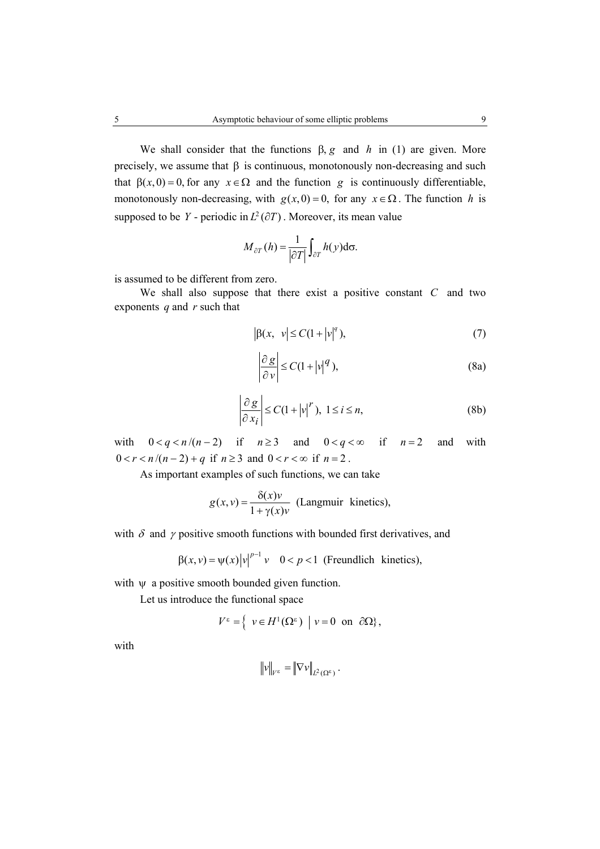We shall consider that the functions  $\beta$ , g and *h* in (1) are given. More precisely, we assume that  $\beta$  is continuous, monotonously non-decreasing and such that  $\beta(x, 0) = 0$ , for any  $x \in \Omega$  and the function *g* is continuously differentiable, monotonously non-decreasing, with  $g(x, 0) = 0$ , for any  $x \in \Omega$ . The function *h* is supposed to be *Y* - periodic in  $L^2(\partial T)$ . Moreover, its mean value

$$
M_{\partial T}(h) = \frac{1}{|\partial T|} \int_{\partial T} h(y) d\sigma.
$$

is assumed to be different from zero.

We shall also suppose that there exist a positive constant *C* and two exponents *q* and *r* such that

$$
\left|\beta(x,\ v\right|\leq C(1+|v|^q),\tag{7}
$$

$$
\left|\frac{\partial g}{\partial v}\right| \le C(1+|v|^q),\tag{8a}
$$

$$
\left|\frac{\partial g}{\partial x_i}\right| \le C(1+|v|^r), \ 1 \le i \le n,
$$
\n(8b)

with  $0 < q < n/(n-2)$  if  $n \ge 3$  and  $0 < q < \infty$  if  $n=2$  and with  $0 < r < n/(n-2) + q$  if  $n \ge 3$  and  $0 < r < \infty$  if  $n = 2$ .

As important examples of such functions, we can take

$$
g(x, v) = \frac{\delta(x)v}{1 + \gamma(x)v}
$$
 (Langmuir kinetics),

with  $\delta$  and  $\gamma$  positive smooth functions with bounded first derivatives, and

$$
\beta(x, v) = \psi(x) |v|^{p-1} v \quad 0 < p < 1 \text{ (Freundlich kinetics),}
$$

with  $\psi$  a positive smooth bounded given function.

Let us introduce the functional space

$$
V^{\varepsilon} = \left\{ v \in H^{1}(\Omega^{\varepsilon}) \mid v = 0 \text{ on } \partial\Omega \right\},\
$$

with

$$
\|v\|_{V^{\epsilon}} = \|\nabla v\|_{L^2(\Omega^{\epsilon})}.
$$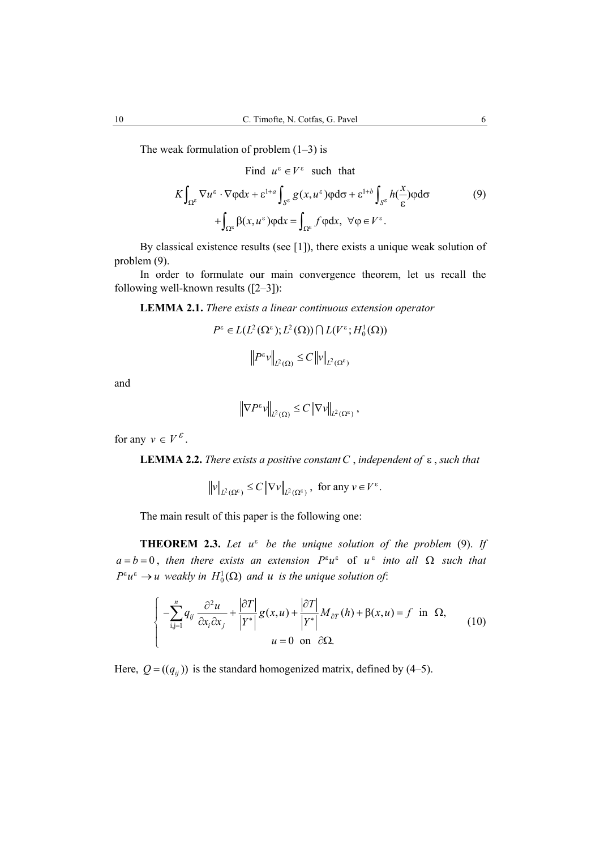The weak formulation of problem  $(1-3)$  is

Find  $u^{\varepsilon} \in V^{\varepsilon}$  such that

$$
K \int_{\Omega^{\varepsilon}} \nabla u^{\varepsilon} \cdot \nabla \varphi dx + \varepsilon^{1+a} \int_{S^{\varepsilon}} g(x, u^{\varepsilon}) \varphi d\sigma + \varepsilon^{1+b} \int_{S^{\varepsilon}} h(\frac{x}{\varepsilon}) \varphi d\sigma
$$
  
+ 
$$
\int_{\Omega^{\varepsilon}} \beta(x, u^{\varepsilon}) \varphi dx = \int_{\Omega^{\varepsilon}} f \varphi dx, \quad \forall \varphi \in V^{\varepsilon}.
$$
 (9)

By classical existence results (see [1]), there exists a unique weak solution of problem (9).

In order to formulate our main convergence theorem, let us recall the following well-known results ([2–3]):

**LEMMA 2.1.** *There exists a linear continuous extension operator*

$$
P^{\varepsilon} \in L(L^{2}(\Omega^{\varepsilon}); L^{2}(\Omega)) \cap L(V^{\varepsilon}; H_{0}^{1}(\Omega))
$$

$$
\left\| P^{\varepsilon} \mathbf{v} \right\|_{L^{2}(\Omega)} \leq C \left\| \mathbf{v} \right\|_{L^{2}(\Omega^{\varepsilon})}
$$

and

$$
\left\|\nabla P^{\varepsilon}v\right\|_{L^2(\Omega)} \leq C\left\|\nabla v\right\|_{L^2(\Omega^{\varepsilon})},
$$

for any  $v \in V^{\varepsilon}$ .

**LEMMA 2.2.** *There exists a positive constantC* , *independent of* ε , *such that*

$$
\|\nu\|_{L^2(\Omega^\varepsilon)} \le C \|\nabla \nu\|_{L^2(\Omega^\varepsilon)}, \text{ for any } \nu \in V^\varepsilon.
$$

The main result of this paper is the following one:

**THEOREM 2.3.** *Let u*<sup>ε</sup> *be the unique solution of the problem* (9). *If*  $a = b = 0$ , *then there exists an extension*  $P^{\varepsilon}u^{\varepsilon}$  of  $u^{\varepsilon}$  *into all*  $\Omega$  *such that*  $P^{\varepsilon}u^{\varepsilon} \to u$  *weakly in*  $H_0^1(\Omega)$  *and u is the unique solution of:* 

$$
\begin{cases}\n-\sum_{i,j=1}^{n} q_{ij} \frac{\partial^2 u}{\partial x_i \partial x_j} + \frac{|\partial T|}{|Y^*|} g(x, u) + \frac{|\partial T|}{|Y^*|} M_{\partial T}(h) + \beta(x, u) = f \text{ in } \Omega, \\
u = 0 \text{ on } \partial \Omega.\n\end{cases}
$$
\n(10)

Here,  $Q = ((q_{ij}))$  is the standard homogenized matrix, defined by (4–5).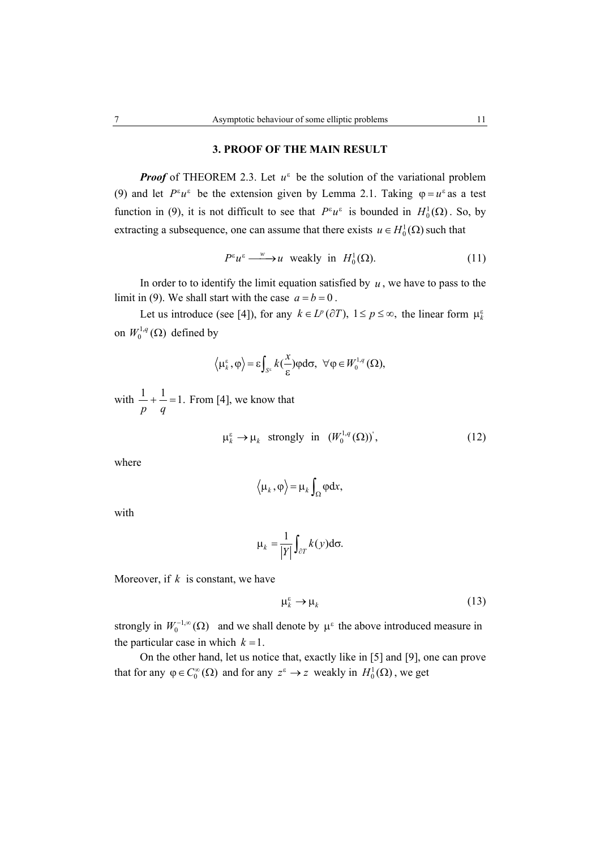# **3. PROOF OF THE MAIN RESULT**

*Proof* of THEOREM 2.3. Let  $u^{\varepsilon}$  be the solution of the variational problem (9) and let  $P^{\varepsilon}u^{\varepsilon}$  be the extension given by Lemma 2.1. Taking  $\varphi = u^{\varepsilon}$  as a test function in (9), it is not difficult to see that  $P^{\varepsilon}u^{\varepsilon}$  is bounded in  $H_0^1(\Omega)$ . So, by extracting a subsequence, one can assume that there exists  $u \in H_0^1(\Omega)$  such that

$$
P^{\varepsilon}u^{\varepsilon} \xrightarrow{w} u \text{ weakly in } H_0^1(\Omega). \tag{11}
$$

In order to to identify the limit equation satisfied by  $u$ , we have to pass to the limit in (9). We shall start with the case  $a = b = 0$ .

Let us introduce (see [4]), for any  $k \in L^p(\partial T)$ ,  $1 \le p \le \infty$ , the linear form  $\mu_k^{\varepsilon}$ on  $W_0^{1,q}(\Omega)$  defined by

$$
\langle \mu_k^{\varepsilon}, \varphi \rangle = \varepsilon \int_{S^{\varepsilon}} k(\frac{x}{\varepsilon}) \varphi d\sigma, \ \ \forall \varphi \in W_0^{1,q}(\Omega),
$$

with  $\frac{1}{-} + \frac{1}{-} = 1$ . *p q*  $+$   $-$  = 1. From [4], we know that

$$
\mu_k^{\varepsilon} \to \mu_k \quad \text{strongly in} \quad (W_0^{1,q}(\Omega))^{'}, \tag{12}
$$

where

$$
\langle \mu_k, \varphi \rangle = \mu_k \int_{\Omega} \varphi \, dx,
$$

with

$$
\mu_k = \frac{1}{|Y|} \int_{\partial T} k(y) d\sigma.
$$

Moreover, if *k* is constant, we have

$$
\mu_k^{\varepsilon} \to \mu_k \tag{13}
$$

strongly in  $W_0^{-1,\infty}(\Omega)$  and we shall denote by  $\mu^{\varepsilon}$  the above introduced measure in the particular case in which  $k = 1$ .

On the other hand, let us notice that, exactly like in [5] and [9], one can prove that for any  $\varphi \in C_0^{\infty}(\Omega)$  and for any  $z^{\varepsilon} \to z$  weakly in  $H_0^1(\Omega)$ , we get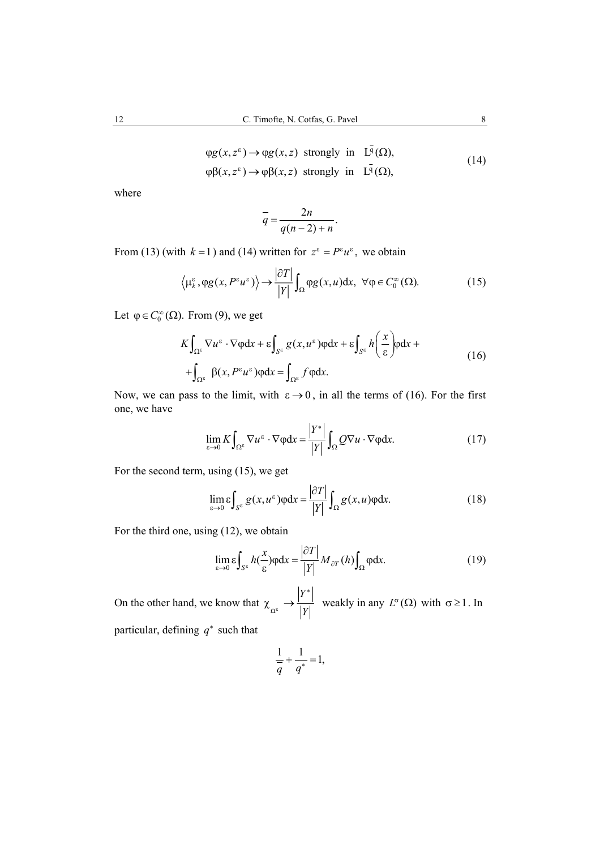$$
\varphi g(x, z^{\epsilon}) \to \varphi g(x, z) \text{ strongly in } L^{q}(\Omega),
$$
  

$$
\varphi \beta(x, z^{\epsilon}) \to \varphi \beta(x, z) \text{ strongly in } L^{\overline{q}}(\Omega),
$$
 (14)

where

$$
\overline{q} = \frac{2n}{q(n-2)+n}.
$$

From (13) (with  $k = 1$ ) and (14) written for  $z^{\epsilon} = P^{\epsilon}u^{\epsilon}$ , we obtain

$$
\left\langle \mu_k^{\varepsilon}, \varphi g(x, P^{\varepsilon} u^{\varepsilon}) \right\rangle \to \frac{|\partial T|}{|Y|} \int_{\Omega} \varphi g(x, u) dx, \ \forall \varphi \in C_0^{\infty}(\Omega). \tag{15}
$$

Let  $\varphi \in C_0^{\infty}(\Omega)$ . From (9), we get

$$
K\int_{\Omega^{\varepsilon}} \nabla u^{\varepsilon} \cdot \nabla \varphi dx + \varepsilon \int_{S^{\varepsilon}} g(x, u^{\varepsilon}) \varphi dx + \varepsilon \int_{S^{\varepsilon}} h\left(\frac{x}{\varepsilon}\right) \varphi dx +
$$
  
+ 
$$
\int_{\Omega^{\varepsilon}} \beta(x, P^{\varepsilon} u^{\varepsilon}) \varphi dx = \int_{\Omega^{\varepsilon}} f \varphi dx.
$$
 (16)

Now, we can pass to the limit, with  $\varepsilon \to 0$ , in all the terms of (16). For the first one, we have

$$
\lim_{\varepsilon \to 0} K \int_{\Omega^{\varepsilon}} \nabla u^{\varepsilon} \cdot \nabla \varphi dx = \frac{|Y^*|}{|Y|} \int_{\Omega} Q \nabla u \cdot \nabla \varphi dx.
$$
 (17)

For the second term, using (15), we get

$$
\lim_{\varepsilon \to 0} \varepsilon \int_{S^{\varepsilon}} g(x, u^{\varepsilon}) \varphi dx = \frac{|\partial T|}{|Y|} \int_{\Omega} g(x, u) \varphi dx.
$$
 (18)

For the third one, using (12), we obtain

$$
\lim_{\varepsilon \to 0} \varepsilon \int_{S^{\varepsilon}} h(\frac{x}{\varepsilon}) \varphi dx = \frac{|\partial T|}{|Y|} M_{\partial T}(h) \int_{\Omega} \varphi dx.
$$
 (19)

On the other hand, we know that *Y*  $\Omega^{\epsilon}$  *|Y* ∗  $\chi \rightarrow \frac{|v|}{|v|}$  weakly in any  $L^{\sigma}(\Omega)$  with  $\sigma \ge 1$ . In particular, defining *q*<sup>∗</sup> such that

$$
\frac{1}{q} + \frac{1}{q^*} = 1,
$$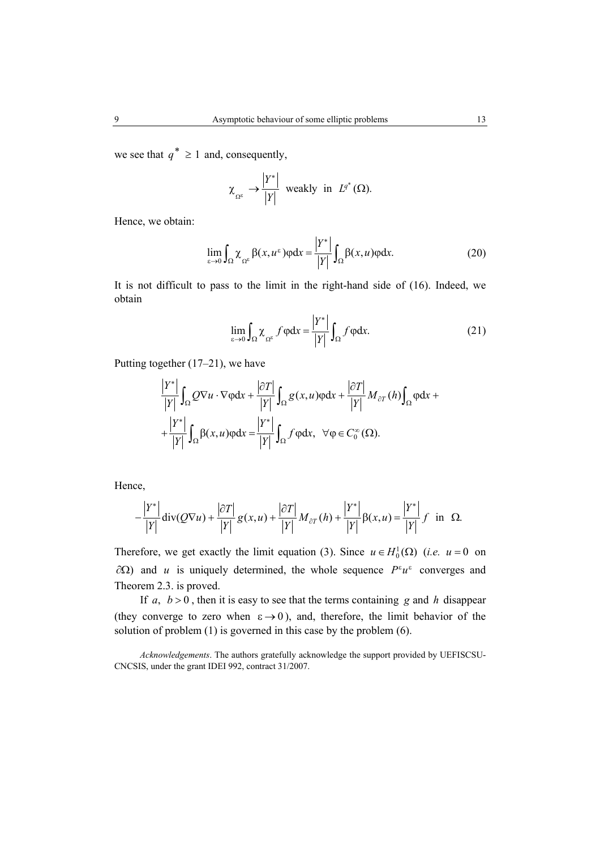we see that  $q^* \ge 1$  and, consequently,

$$
\chi_{\Omega^{\varepsilon}} \to \frac{|Y^*|}{|Y|}
$$
 weakly in  $L^{q^*}(\Omega)$ .

Hence, we obtain:

$$
\lim_{\varepsilon \to 0} \int_{\Omega} \chi_{\Omega^{\varepsilon}} \beta(x, u^{\varepsilon}) \varphi dx = \frac{|Y^*|}{|Y|} \int_{\Omega} \beta(x, u) \varphi dx.
$$
 (20)

It is not difficult to pass to the limit in the right-hand side of (16). Indeed, we obtain

$$
\lim_{\varepsilon \to 0} \int_{\Omega} \chi_{\Omega^{\varepsilon}} f \varphi dx = \frac{|Y^*|}{|Y|} \int_{\Omega} f \varphi dx.
$$
 (21)

Putting together (17–21), we have

$$
\frac{|Y^*|}{|Y|} \int_{\Omega} Q \nabla u \cdot \nabla \varphi dx + \frac{|\partial T|}{|Y|} \int_{\Omega} g(x, u) \varphi dx + \frac{|\partial T|}{|Y|} M_{\partial T}(h) \int_{\Omega} \varphi dx + \frac{|Y^*|}{|Y|} \int_{\Omega} \beta(x, u) \varphi dx = \frac{|Y^*|}{|Y|} \int_{\Omega} f \varphi dx, \quad \forall \varphi \in C_0^{\infty}(\Omega).
$$

Hence,

$$
-\frac{|Y^*|}{|Y|}\operatorname{div}(Q\nabla u) + \frac{|\partial T|}{|Y|}g(x,u) + \frac{|\partial T|}{|Y|}M_{\partial T}(h) + \frac{|Y^*|}{|Y|}\beta(x,u) = \frac{|Y^*|}{|Y|}f \text{ in } \Omega.
$$

Therefore, we get exactly the limit equation (3). Since  $u \in H_0^1(\Omega)$  (*i.e.*  $u = 0$  on  $\partial Ω$ ) and *u* is uniquely determined, the whole sequence  $P^{\varepsilon}u^{\varepsilon}$  converges and Theorem 2.3. is proved.

If  $a, b > 0$ , then it is easy to see that the terms containing g and h disappear (they converge to zero when  $\varepsilon \rightarrow 0$ ), and, therefore, the limit behavior of the solution of problem (1) is governed in this case by the problem (6).

*Acknowledgements*. The authors gratefully acknowledge the support provided by UEFISCSU-CNCSIS, under the grant IDEI 992, contract 31/2007.